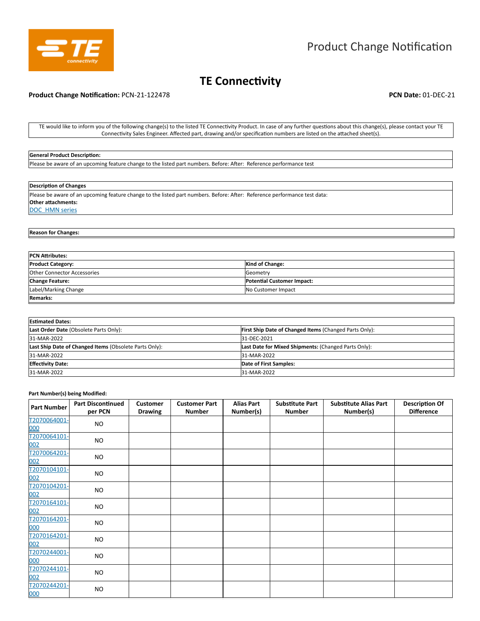

# **TE Connectivity**

## **Product Change Notification:** PCN-21-122478 **PCN Date:** 01-DEC-21

TE would like to inform you of the following change(s) to the listed TE Connectivity Product. In case of any further questions about this change(s), please contact your TE Connectivity Sales Engineer. Affected part, drawing and/or specification numbers are listed on the attached sheet(s).

#### **General Product Description:**

Please be aware of an upcoming feature change to the listed part numbers. Before: After: Reference performance test

#### **Description of Changes**

Please be aware of an upcoming feature change to the listed part numbers. Before: After: Reference performance test data: **Other attachments:**  DOC\_HMN series

# **Reason for Changes:**

| <b>PCN Attributes:</b>             |                                   |  |  |  |  |  |
|------------------------------------|-----------------------------------|--|--|--|--|--|
| <b>Product Category:</b>           | <b>Kind of Change:</b>            |  |  |  |  |  |
| <b>Other Connector Accessories</b> | Geometry                          |  |  |  |  |  |
| <b>Change Feature:</b>             | <b>Potential Customer Impact:</b> |  |  |  |  |  |
| Label/Marking Change               | No Customer Impact                |  |  |  |  |  |
| <b>Remarks:</b>                    |                                   |  |  |  |  |  |

| <b>Estimated Dates:</b>                                |                                                               |  |  |  |  |  |  |
|--------------------------------------------------------|---------------------------------------------------------------|--|--|--|--|--|--|
| Last Order Date (Obsolete Parts Only):                 | <b>First Ship Date of Changed Items (Changed Parts Only):</b> |  |  |  |  |  |  |
| 31-MAR-2022                                            | 31-DEC-2021                                                   |  |  |  |  |  |  |
| Last Ship Date of Changed Items (Obsolete Parts Only): | Last Date for Mixed Shipments: (Changed Parts Only):          |  |  |  |  |  |  |
| 31-MAR-2022                                            | 31-MAR-2022                                                   |  |  |  |  |  |  |
| <b>Effectivity Date:</b>                               | Date of First Samples:                                        |  |  |  |  |  |  |
| 31-MAR-2022                                            | 31-MAR-2022                                                   |  |  |  |  |  |  |

#### **Part Number(s) being Modified:**

| <b>Part Number</b>  | <b>Part Discontinued</b><br>per PCN | <b>Customer</b><br><b>Drawing</b> | <b>Customer Part</b><br><b>Number</b> | <b>Alias Part</b><br>Number(s) | <b>Substitute Part</b><br><b>Number</b> | <b>Substitute Alias Part</b><br>Number(s) | <b>Description Of</b><br><b>Difference</b> |
|---------------------|-------------------------------------|-----------------------------------|---------------------------------------|--------------------------------|-----------------------------------------|-------------------------------------------|--------------------------------------------|
| T2070064001-<br>000 | <b>NO</b>                           |                                   |                                       |                                |                                         |                                           |                                            |
| T2070064101-<br>002 | <b>NO</b>                           |                                   |                                       |                                |                                         |                                           |                                            |
| T2070064201-<br>002 | <b>NO</b>                           |                                   |                                       |                                |                                         |                                           |                                            |
| T2070104101-<br>002 | <b>NO</b>                           |                                   |                                       |                                |                                         |                                           |                                            |
| T2070104201-<br>002 | <b>NO</b>                           |                                   |                                       |                                |                                         |                                           |                                            |
| T2070164101-<br>002 | <b>NO</b>                           |                                   |                                       |                                |                                         |                                           |                                            |
| T2070164201-<br>000 | <b>NO</b>                           |                                   |                                       |                                |                                         |                                           |                                            |
| T2070164201-<br>002 | <b>NO</b>                           |                                   |                                       |                                |                                         |                                           |                                            |
| T2070244001-<br>000 | <b>NO</b>                           |                                   |                                       |                                |                                         |                                           |                                            |
| T2070244101-<br>002 | <b>NO</b>                           |                                   |                                       |                                |                                         |                                           |                                            |
| T2070244201-<br>000 | <b>NO</b>                           |                                   |                                       |                                |                                         |                                           |                                            |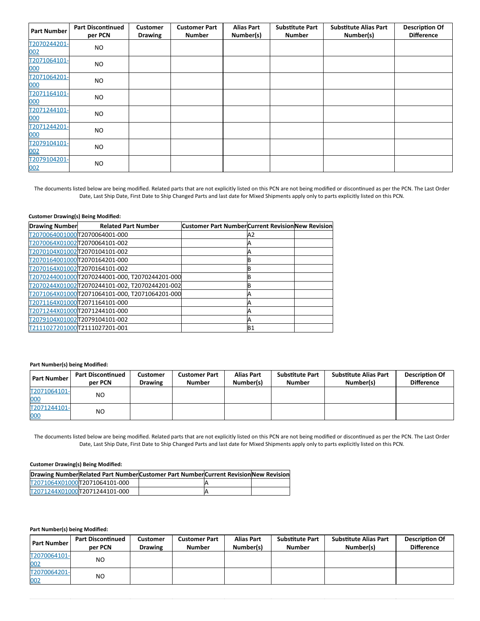| <b>Part Number</b>  | <b>Part Discontinued</b><br>per PCN | <b>Customer</b><br><b>Drawing</b> | <b>Customer Part</b><br><b>Number</b> | <b>Alias Part</b><br>Number(s) | <b>Substitute Part</b><br><b>Number</b> | <b>Substitute Alias Part</b><br>Number(s) | <b>Description Of</b><br><b>Difference</b> |
|---------------------|-------------------------------------|-----------------------------------|---------------------------------------|--------------------------------|-----------------------------------------|-------------------------------------------|--------------------------------------------|
| T2070244201-<br>002 | NO                                  |                                   |                                       |                                |                                         |                                           |                                            |
| T2071064101-<br>000 | <b>NO</b>                           |                                   |                                       |                                |                                         |                                           |                                            |
| T2071064201-<br>000 | <b>NO</b>                           |                                   |                                       |                                |                                         |                                           |                                            |
| T2071164101-<br>000 | NO.                                 |                                   |                                       |                                |                                         |                                           |                                            |
| T2071244101-<br>000 | <b>NO</b>                           |                                   |                                       |                                |                                         |                                           |                                            |
| T2071244201-<br>000 | <b>NO</b>                           |                                   |                                       |                                |                                         |                                           |                                            |
| T2079104101-<br>002 | NO.                                 |                                   |                                       |                                |                                         |                                           |                                            |
| T2079104201-<br>002 | <b>NO</b>                           |                                   |                                       |                                |                                         |                                           |                                            |

The documents listed below are being modified. Related parts that are not explicitly listed on this PCN are not being modified or discontinued as per the PCN. The Last Order Date, Last Ship Date, First Date to Ship Changed Parts and last date for Mixed Shipments apply only to parts explicitly listed on this PCN.

## **Customer Drawing(s) Being Modified:**

| <b>Drawing Number</b> | <b>Related Part Number</b>                     | Customer Part Number Current Revision New Revision |           |  |
|-----------------------|------------------------------------------------|----------------------------------------------------|-----------|--|
|                       | T2070064001000T2070064001-000                  |                                                    | A2        |  |
|                       | T2070064X01002T2070064101-002                  |                                                    |           |  |
|                       | T2070104X01002T2070104101-002                  |                                                    |           |  |
|                       | T2070164001000T2070164201-000                  |                                                    |           |  |
|                       | T2070164X01002T2070164101-002                  |                                                    |           |  |
|                       | T2070244001000T2070244001-000, T2070244201-000 |                                                    |           |  |
|                       | T2070244X01002T2070244101-002, T2070244201-002 |                                                    |           |  |
|                       | T2071064X01000T2071064101-000, T2071064201-000 |                                                    |           |  |
|                       | T2071164X01000T2071164101-000                  |                                                    |           |  |
|                       | T2071244X01000T2071244101-000                  |                                                    |           |  |
|                       | T2079104X01002T2079104101-002                  |                                                    |           |  |
|                       | T2111027201000T2111027201-001                  |                                                    | <b>B1</b> |  |

## **Part Number(s) being Modified:**

| <b>Part Number</b>  | <b>Part Discontinued</b><br>per PCN | <b>Customer</b><br><b>Drawing</b> | <b>Customer Part</b><br><b>Number</b> | <b>Alias Part</b><br>Number(s) | <b>Substitute Part</b><br><b>Number</b> | <b>Substitute Alias Part</b><br>Number(s) | <b>Description Of</b><br><b>Difference</b> |
|---------------------|-------------------------------------|-----------------------------------|---------------------------------------|--------------------------------|-----------------------------------------|-------------------------------------------|--------------------------------------------|
| T2071064101-<br>000 | <b>NO</b>                           |                                   |                                       |                                |                                         |                                           |                                            |
| T2071244101-<br>000 | N <sub>O</sub>                      |                                   |                                       |                                |                                         |                                           |                                            |

The documents listed below are being modified. Related parts that are not explicitly listed on this PCN are not being modified or discontinued as per the PCN. The Last Order Date, Last Ship Date, First Date to Ship Changed Parts and last date for Mixed Shipments apply only to parts explicitly listed on this PCN.

## **Customer Drawing(s) Being Modified:**

|                               | Drawing NumberRelated Part NumberCustomer Part NumberCurrent Revision New Revision |  |
|-------------------------------|------------------------------------------------------------------------------------|--|
| T2071064X01000T2071064101-000 |                                                                                    |  |
| T2071244X01000T2071244101-000 |                                                                                    |  |

**Part Number(s) being Modified:**

| <b>Part Number</b>  | <b>Part Discontinued</b><br>per PCN | <b>Customer</b><br><b>Drawing</b> | Customer Part<br><b>Number</b> | <b>Alias Part</b><br>Number(s) | <b>Substitute Part</b><br><b>Number</b> | <b>Substitute Alias Part</b><br>Number(s) | <b>Description Of</b><br><b>Difference</b> |
|---------------------|-------------------------------------|-----------------------------------|--------------------------------|--------------------------------|-----------------------------------------|-------------------------------------------|--------------------------------------------|
| T2070064101-<br>002 | N <sub>O</sub>                      |                                   |                                |                                |                                         |                                           |                                            |
| T2070064201-<br>002 | N <sub>O</sub>                      |                                   |                                |                                |                                         |                                           |                                            |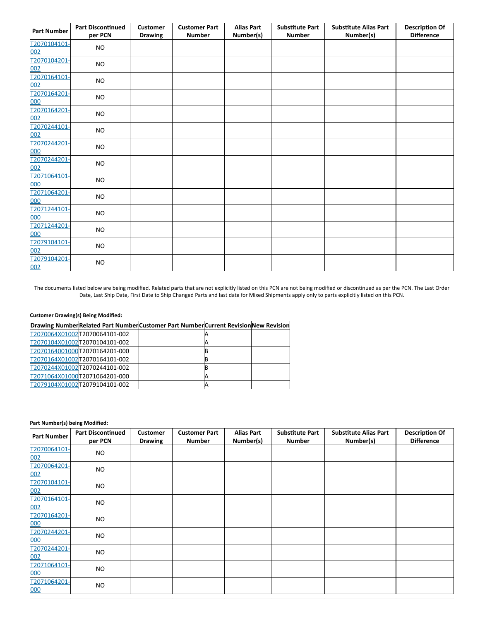| <b>Part Number</b>                         | <b>Part Discontinued</b> | <b>Customer</b> | <b>Customer Part</b> | <b>Alias Part</b> | <b>Substitute Part</b> | <b>Substitute Alias Part</b> | <b>Description Of</b> |
|--------------------------------------------|--------------------------|-----------------|----------------------|-------------------|------------------------|------------------------------|-----------------------|
|                                            | per PCN                  | <b>Drawing</b>  | <b>Number</b>        | Number(s)         | <b>Number</b>          | Number(s)                    | <b>Difference</b>     |
| T2070104101-                               | <b>NO</b>                |                 |                      |                   |                        |                              |                       |
| 002<br>T2070104201-<br>002<br>T2070164101- | <b>NO</b>                |                 |                      |                   |                        |                              |                       |
| 002<br>T2070164201-                        | <b>NO</b>                |                 |                      |                   |                        |                              |                       |
| 000<br>T2070164201-                        | <b>NO</b>                |                 |                      |                   |                        |                              |                       |
| 002<br>T2070244101-                        | <b>NO</b>                |                 |                      |                   |                        |                              |                       |
| 002<br>T2070244201-                        | <b>NO</b>                |                 |                      |                   |                        |                              |                       |
| 000<br>T2070244201-                        | <b>NO</b>                |                 |                      |                   |                        |                              |                       |
| 002<br>T2071064101-                        | <b>NO</b>                |                 |                      |                   |                        |                              |                       |
| 000<br>T2071064201-                        | <b>NO</b>                |                 |                      |                   |                        |                              |                       |
| 000                                        | <b>NO</b>                |                 |                      |                   |                        |                              |                       |
| T2071244101-<br>000                        | <b>NO</b>                |                 |                      |                   |                        |                              |                       |
| T2071244201-<br>000                        | <b>NO</b>                |                 |                      |                   |                        |                              |                       |
| T2079104101-<br>002                        | <b>NO</b>                |                 |                      |                   |                        |                              |                       |
| T2079104201-<br>002                        | <b>NO</b>                |                 |                      |                   |                        |                              |                       |

The documents listed below are being modified. Related parts that are not explicitly listed on this PCN are not being modified or discontinued as per the PCN. The Last Order Date, Last Ship Date, First Date to Ship Changed Parts and last date for Mixed Shipments apply only to parts explicitly listed on this PCN.

# **Customer Drawing(s) Being Modified:**

|                               | Drawing NumberRelated Part NumberCustomer Part NumberCurrent RevisionNew Revision |  |
|-------------------------------|-----------------------------------------------------------------------------------|--|
| T2070064X01002T2070064101-002 |                                                                                   |  |
| T2070104X01002T2070104101-002 |                                                                                   |  |
| T2070164001000T2070164201-000 |                                                                                   |  |
| T2070164X01002T2070164101-002 |                                                                                   |  |
| T2070244X01002T2070244101-002 |                                                                                   |  |
| T2071064X01000T2071064201-000 |                                                                                   |  |
| T2079104X01002T2079104101-002 |                                                                                   |  |

#### **Part Number(s) being Modified:**

| <b>Part Number</b>  | <b>Part Discontinued</b><br>per PCN | <b>Customer</b><br><b>Drawing</b> | <b>Customer Part</b><br><b>Number</b> | <b>Alias Part</b><br>Number(s) | <b>Substitute Part</b><br><b>Number</b> | <b>Substitute Alias Part</b><br>Number(s) | <b>Description Of</b><br><b>Difference</b> |
|---------------------|-------------------------------------|-----------------------------------|---------------------------------------|--------------------------------|-----------------------------------------|-------------------------------------------|--------------------------------------------|
| T2070064101-<br>002 | <b>NO</b>                           |                                   |                                       |                                |                                         |                                           |                                            |
| T2070064201-<br>002 | <b>NO</b>                           |                                   |                                       |                                |                                         |                                           |                                            |
| T2070104101-<br>002 | <b>NO</b>                           |                                   |                                       |                                |                                         |                                           |                                            |
| T2070164101-<br>002 | <b>NO</b>                           |                                   |                                       |                                |                                         |                                           |                                            |
| T2070164201-<br>000 | <b>NO</b>                           |                                   |                                       |                                |                                         |                                           |                                            |
| T2070244201-<br>000 | <b>NO</b>                           |                                   |                                       |                                |                                         |                                           |                                            |
| T2070244201-<br>002 | <b>NO</b>                           |                                   |                                       |                                |                                         |                                           |                                            |
| T2071064101-<br>000 | <b>NO</b>                           |                                   |                                       |                                |                                         |                                           |                                            |
| T2071064201-<br>000 | <b>NO</b>                           |                                   |                                       |                                |                                         |                                           |                                            |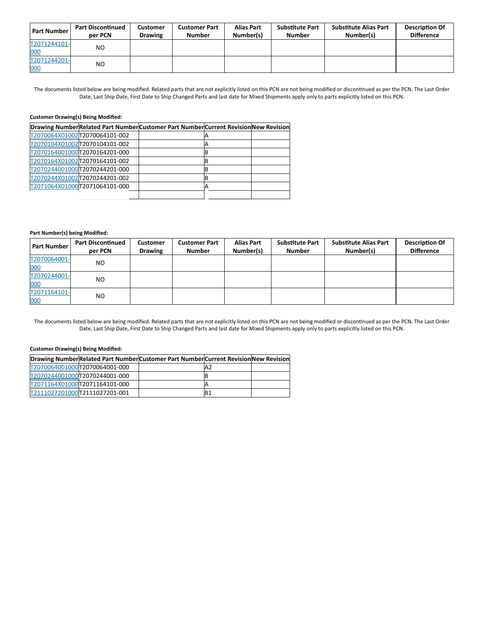| <b>Part Number</b>  | <b>Part Discontinued</b><br>per PCN | Customer<br><b>Drawing</b> | <b>Customer Part</b><br><b>Number</b> | <b>Alias Part</b><br>Number(s) | <b>Substitute Part</b><br><b>Number</b> | <b>Substitute Alias Part</b><br>Number(s) | <b>Description Of</b><br><b>Difference</b> |
|---------------------|-------------------------------------|----------------------------|---------------------------------------|--------------------------------|-----------------------------------------|-------------------------------------------|--------------------------------------------|
| T2071244101-<br>000 | N <sub>O</sub>                      |                            |                                       |                                |                                         |                                           |                                            |
| T2071244201-<br>000 | N <sub>O</sub>                      |                            |                                       |                                |                                         |                                           |                                            |

The documents listed below are being modified. Related parts that are not explicitly listed on this PCN are not being modified or discontinued as per the PCN. The Last Order Date, Last Ship Date, First Date to Ship Changed Parts and last date for Mixed Shipments apply only to parts explicitly listed on this PCN.

# **Customer Drawing(s) Being Modified:**

|                               | Drawing NumberRelated Part NumberCustomer Part NumberCurrent RevisionNew Revision |  |
|-------------------------------|-----------------------------------------------------------------------------------|--|
| T2070064X01002T2070064101-002 |                                                                                   |  |
| T2070104X01002T2070104101-002 |                                                                                   |  |
| T2070164001000T2070164201-000 |                                                                                   |  |
| T2070164X01002T2070164101-002 |                                                                                   |  |
| T2070244001000T2070244201-000 |                                                                                   |  |
| T2070244X01002T2070244201-002 |                                                                                   |  |
| T2071064X01000T2071064101-000 |                                                                                   |  |
|                               |                                                                                   |  |

## **Part Number(s) being Modified:**

| <b>Part Number</b>  | <b>Part Discontinued</b><br>per PCN | <b>Customer</b><br><b>Drawing</b> | <b>Customer Part</b><br><b>Number</b> | <b>Alias Part</b><br>Number(s) | <b>Substitute Part</b><br><b>Number</b> | <b>Substitute Alias Part</b><br>Number(s) | <b>Description Of</b><br><b>Difference</b> |
|---------------------|-------------------------------------|-----------------------------------|---------------------------------------|--------------------------------|-----------------------------------------|-------------------------------------------|--------------------------------------------|
| T2070064001-<br>000 | NO.                                 |                                   |                                       |                                |                                         |                                           |                                            |
| T2070244001-<br>000 | NO.                                 |                                   |                                       |                                |                                         |                                           |                                            |
| T2071164101-<br>000 | NO.                                 |                                   |                                       |                                |                                         |                                           |                                            |

The documents listed below are being modified. Related parts that are not explicitly listed on this PCN are not being modified or discontinued as per the PCN. The Last Order Date, Last Ship Date, First Date to Ship Changed Parts and last date for Mixed Shipments apply only to parts explicitly listed on this PCN.

# **Customer Drawing(s) Being Modified:**

|                               | Drawing NumberRelated Part Number Customer Part Number Current Revision New Revision |     |  |
|-------------------------------|--------------------------------------------------------------------------------------|-----|--|
| T2070064001000T2070064001-000 |                                                                                      | 'A2 |  |
| T2070244001000T2070244001-000 |                                                                                      |     |  |
| T2071164X01000T2071164101-000 |                                                                                      |     |  |
| T2111027201000T2111027201-001 |                                                                                      | IB1 |  |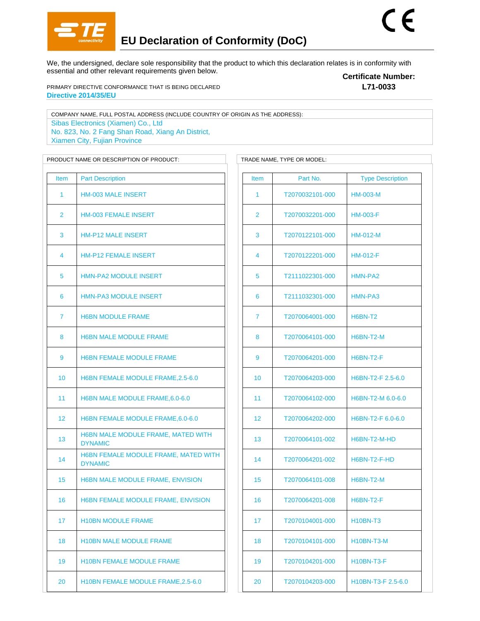

We, the undersigned, declare sole responsibility that the product to which this declaration relates is in conformity with essential and other relevant requirements given below.

PRIMARY DIRECTIVE CONFORMANCE THAT IS BEING DECLARED **Directive 2014/35/EU**

**Certificate Number: L71-0033**

COMPANY NAME, FULL POSTAL ADDRESS (INCLUDE COUNTRY OF ORIGIN AS THE ADDRESS): Sibas Electronics (Xiamen) Co., Ltd No. 823, No. 2 Fang Shan Road, Xiang An District, Xiamen City, Fujian Province

PRODUCT NAME OR DESCRIPTION OF PRODUCT: TRADE NAME, TYPE OR MODEL: Item Part Description HM-003 MALE INSERT HM-003 FEMALE INSERT HM-P12 MALE INSERT HM-P12 FEMALE INSERT HMN-PA2 MODULE INSERT HMN-PA3 MODULE INSERT H6BN MODULE FRAME 8 H6BN MALE MODULE FRAME 9 H6BN FEMALE MODULE FRAME H6BN FEMALE MODULE FRAME,2.5-6.0 H6BN MALE MODULE FRAME,6.0-6.0 12 H6BN FEMALE MODULE FRAME, 6.0-6.0 H6BN MALE MODULE FRAME, MATED WITH DYNAMIC H6BN FEMALE MODULE FRAME, MATED WITH DYNAMIC H6BN MALE MODULE FRAME, ENVISION H6BN FEMALE MODULE FRAME, ENVISION H10BN MODULE FRAME 18 H10BN MALE MODULE FRAME H10BN FEMALE MODULE FRAME 20 H10BN FEMALE MODULE FRAME, 2.5-6.0

Item Part No. Type Description T2070032101-000 HM-003-M T2070032201-000 HM-003-F T2070122101-000 HM-012-M T2070122201-000 HM-012-F T2111022301-000 HMN-PA2 T2111032301-000 HMN-PA3 T2070064001-000 H6BN-T2 T2070064101-000 H6BN-T2-M T2070064201-000 H6BN-T2-F T2070064203-000 H6BN-T2-F 2.5-6.0 T2070064102-000 H6BN-T2-M 6.0-6.0 T2070064202-000 H6BN-T2-F 6.0-6.0 T2070064101-002 H6BN-T2-M-HD T2070064201-002 H6BN-T2-F-HD T2070064101-008 H6BN-T2-M T2070064201-008 H6BN-T2-F T2070104001-000 H10BN-T3 T2070104101-000 H10BN-T3-M T2070104201-000 H10BN-T3-F T2070104203-000 H10BN-T3-F 2.5-6.0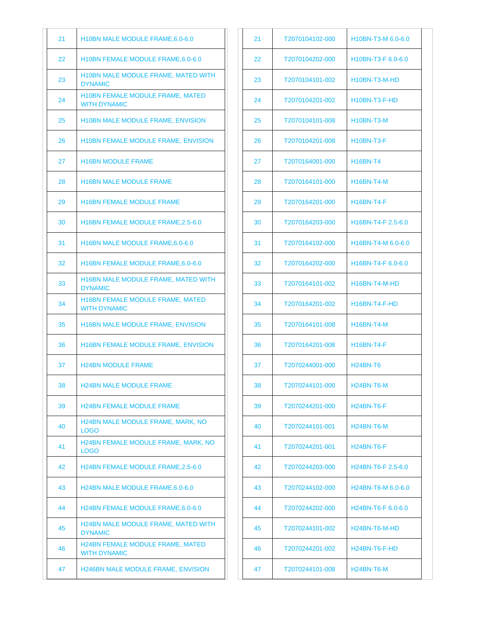| 21 | H10BN MALE MODULE FRAME, 6.0-6.0                               |
|----|----------------------------------------------------------------|
| 22 | H10BN FEMALE MODULE FRAME, 6.0-6.0                             |
| 23 | <b>H10BN MALE MODULE FRAME, MATED WITH</b><br><b>DYNAMIC</b>   |
| 24 | H10BN FEMALE MODULE FRAME, MATED<br><b>WITH DYNAMIC</b>        |
| 25 | H10BN MALE MODULE FRAME, ENVISION                              |
| 26 | <b>H10BN FEMALE MODULE FRAME, ENVISION</b>                     |
| 27 | <b>H16BN MODULE FRAME</b>                                      |
| 28 | <b>H16BN MALE MODULE FRAME</b>                                 |
| 29 | <b>H16BN FEMALE MODULE FRAME</b>                               |
| 30 | H16BN FEMALE MODULE FRAME, 2.5-6.0                             |
| 31 | H16BN MALE MODULE FRAME, 6.0-6.0                               |
| 32 | H16BN FEMALE MODULE FRAME, 6.0-6.0                             |
| 33 | H16BN MALE MODULE FRAME, MATED WITH<br><b>DYNAMIC</b>          |
| 34 | H16BN FEMALE MODULE FRAME, MATED<br><b>WITH DYNAMIC</b>        |
| 35 | H16BN MALE MODULE FRAME, ENVISION                              |
| 36 | <b>H16BN FEMALE MODULE FRAME, ENVISION</b>                     |
| 37 | <b>H24BN MODULE FRAME</b>                                      |
| 38 | <b>H24BN MALE MODULE FRAME</b>                                 |
| 39 | <b>H24BN FEMALE MODULE FRAME</b>                               |
| 40 | <b>H24BN MALE MODULE FRAME, MARK, NO</b><br>LOGO               |
| 41 | H24BN FEMALE MODULE FRAME, MARK, NO<br><b>LOGO</b>             |
| 42 | <b>H24BN FEMALE MODULE FRAME.2.5-6.0</b>                       |
| 43 | H24BN MALE MODULE FRAME, 6.0-6.0                               |
| 44 | H24BN FEMALE MODULE FRAME, 6.0-6.0                             |
| 45 | H24BN MALE MODULE FRAME, MATED WITH<br><b>DYNAMIC</b>          |
| 46 | <b>H24BN FEMALE MODULE FRAME, MATED</b><br><b>WITH DYNAMIC</b> |
| 47 | <b>H246BN MALE MODULE FRAME, ENVISION</b>                      |

| 21 | T2070104102-000 | H10BN-T3-M 6.0-6.0                           |
|----|-----------------|----------------------------------------------|
| 22 | T2070104202-000 | H10BN-T3-F 6.0-6.0                           |
| 23 | T2070104101-002 | H10BN-T3-M-HD                                |
| 24 | T2070104201-002 | H10BN-T3-F-HD                                |
| 25 | T2070104101-008 | <b>H10BN-T3-M</b>                            |
| 26 | T2070104201-008 | <b>H10BN-T3-F</b>                            |
| 27 | T2070164001-000 | <b>H16BN-T4</b>                              |
| 28 | T2070164101-000 | <b>H16BN-T4-M</b>                            |
| 29 | T2070164201-000 | <b>H16BN-T4-F</b>                            |
| 30 | T2070164203-000 | H16BN-T4-F 2.5-6.0                           |
| 31 | T2070164102-000 | H16BN-T4-M 6.0-6.0                           |
| 32 | T2070164202-000 | H16BN-T4-F 6.0-6.0                           |
| 33 | T2070164101-002 | H16BN-T4-M-HD                                |
| 34 | T2070164201-002 | H16BN-T4-F-HD                                |
| 35 | T2070164101-008 | <b>H16BN-T4-M</b>                            |
| 36 | T2070164201-008 | <b>H16BN-T4-F</b>                            |
| 37 | T2070244001-000 | <b>H24BN-T6</b>                              |
| 38 | T2070244101-000 | <b>H24BN-T6-M</b>                            |
| 39 | T2070244201-000 | <b>H24BN-T6-F</b>                            |
| 40 | T2070244101-001 | H <sub>24</sub> BN-T <sub>6</sub> -M         |
| 41 | T2070244201-001 | <b>H24BN-T6-F</b>                            |
| 42 | T2070244203-000 | H <sub>24</sub> BN-T <sub>6</sub> -F 2.5-6.0 |
| 43 | T2070244102-000 | H <sub>24</sub> BN-T <sub>6</sub> -M 6.0-6.0 |
| 44 | T2070244202-000 | H24BN-T6-F 6.0-6.0                           |
| 45 | T2070244101-002 | H24BN-T6-M-HD                                |
| 46 | T2070244201-002 | H <sub>24</sub> BN-T <sub>6</sub> -F-HD      |
| 47 | T2070244101-008 | <b>H24BN-T6-M</b>                            |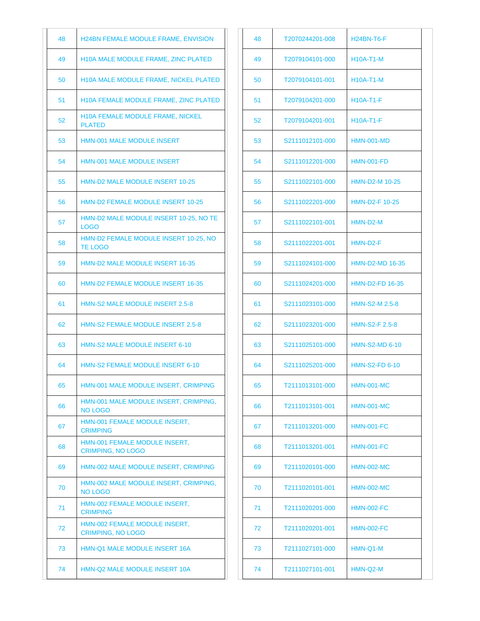| 48 | H24BN FEMALE MODULE FRAME, ENVISION                       |
|----|-----------------------------------------------------------|
| 49 | <b>H10A MALE MODULE FRAME, ZINC PLATED</b>                |
| 50 | <b>H10A MALE MODULE FRAME, NICKEL PLATED</b>              |
| 51 | H10A FEMALE MODULE FRAME, ZINC PLATED                     |
| 52 | <b>H10A FEMALE MODULE FRAME, NICKEL</b><br><b>PLATED</b>  |
| 53 | <b>HMN-001 MALE MODULE INSERT</b>                         |
| 54 | <b>HMN-001 MALE MODULE INSERT</b>                         |
| 55 | <b>HMN-D2 MALE MODULE INSERT 10-25</b>                    |
| 56 | HMN-D2 FEMALE MODULE INSERT 10-25                         |
| 57 | HMN-D2 MALE MODULE INSERT 10-25, NO TE<br><b>LOGO</b>     |
| 58 | HMN-D2 FEMALE MODULE INSERT 10-25, NO<br><b>TE LOGO</b>   |
| 59 | <b>HMN-D2 MALE MODULE INSERT 16-35</b>                    |
| 60 | <b>HMN-D2 FEMALE MODULE INSERT 16-35</b>                  |
| 61 | <b>HMN-S2 MALE MODULE INSERT 2.5-8</b>                    |
| 62 | <b>HMN-S2 FEMALE MODULE INSERT 2.5-8</b>                  |
| 63 | <b>HMN-S2 MALE MODULE INSERT 6-10</b>                     |
| 64 | <b>HMN-S2 FEMALE MODULE INSERT 6-10</b>                   |
| 65 | HMN-001 MALE MODULE INSERT, CRIMPING                      |
| 66 | HMN-001 MALE MODULE INSERT, CRIMPING,<br><b>NO LOGO</b>   |
| 67 | HMN-001 FEMALE MODULE INSERT,<br><b>CRIMPING</b>          |
| 68 | HMN-001 FEMALE MODULE INSERT.<br><b>CRIMPING, NO LOGO</b> |
| 69 | HMN-002 MALE MODULE INSERT, CRIMPING                      |
| 70 | HMN-002 MALE MODULE INSERT, CRIMPING,<br><b>NO LOGO</b>   |
| 71 | HMN-002 FEMALE MODULE INSERT,<br><b>CRIMPING</b>          |
| 72 | HMN-002 FEMALE MODULE INSERT,<br><b>CRIMPING, NO LOGO</b> |
| 73 | HMN-Q1 MALE MODULE INSERT 16A                             |
| 74 | HMN-Q2 MALE MODULE INSERT 10A                             |

| 48 | T2070244201-008 | H24BN-T6-F             |
|----|-----------------|------------------------|
| 49 | T2079104101-000 | <b>H10A-T1-M</b>       |
| 50 | T2079104101-001 | <b>H10A-T1-M</b>       |
| 51 | T2079104201-000 | H10A-T1-F              |
| 52 | T2079104201-001 | <b>H10A-T1-F</b>       |
| 53 | S2111012101-000 | <b>HMN-001-MD</b>      |
| 54 | S2111012201-000 | <b>HMN-001-FD</b>      |
| 55 | S2111022101-000 | <b>HMN-D2-M 10-25</b>  |
| 56 | S2111022201-000 | HMN-D2-F 10-25         |
| 57 | S2111022101-001 | HMN-D2-M               |
| 58 | S2111022201-001 | HMN-D2-F               |
| 59 | S2111024101-000 | <b>HMN-D2-MD 16-35</b> |
| 60 | S2111024201-000 | <b>HMN-D2-FD 16-35</b> |
| 61 | S2111023101-000 | HMN-S2-M 2.5-8         |
| 62 | S2111023201-000 | <b>HMN-S2-F 2.5-8</b>  |
| 63 | S2111025101-000 | <b>HMN-S2-MD 6-10</b>  |
| 64 | S2111025201-000 | <b>HMN-S2-FD 6-10</b>  |
| 65 | T2111013101-000 | HMN-001-MC             |
| 66 | T2111013101-001 | <b>HMN-001-MC</b>      |
| 67 | T2111013201-000 | <b>HMN-001-FC</b>      |
| 68 | T2111013201-001 | <b>HMN-001-FC</b>      |
| 69 | T2111020101-000 | <b>HMN-002-MC</b>      |
| 70 | T2111020101-001 | <b>HMN-002-MC</b>      |
| 71 | T2111020201-000 | <b>HMN-002-FC</b>      |
| 72 | T2111020201-001 | <b>HMN-002-FC</b>      |
| 73 | T2111027101-000 | HMN-Q1-M               |
| 74 | T2111027101-001 | HMN-Q2-M               |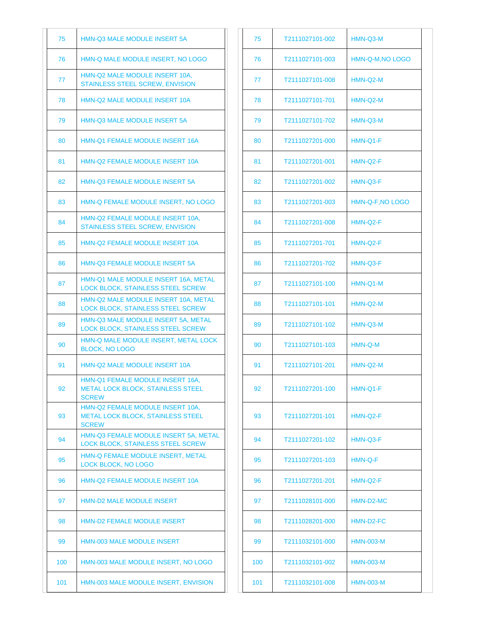| 75  | <b>HMN-Q3 MALE MODULE INSERT 5A</b>                                                          |
|-----|----------------------------------------------------------------------------------------------|
| 76  | HMN-Q MALE MODULE INSERT, NO LOGO                                                            |
| 77  | HMN-Q2 MALE MODULE INSERT 10A.<br>STAINLESS STEEL SCREW, ENVISION                            |
| 78  | HMN-Q2 MALE MODULE INSERT 10A                                                                |
| 79  | <b>HMN-Q3 MALE MODULE INSERT 5A</b>                                                          |
| 80  | HMN-Q1 FEMALE MODULE INSERT 16A                                                              |
| 81  | <b>HMN-Q2 FEMALE MODULE INSERT 10A</b>                                                       |
| 82  | <b>HMN-Q3 FEMALE MODULE INSERT 5A</b>                                                        |
| 83  | HMN-Q FEMALE MODULE INSERT, NO LOGO                                                          |
| 84  | HMN-Q2 FEMALE MODULE INSERT 10A,<br>STAINLESS STEEL SCREW, ENVISION                          |
| 85  | HMN-Q2 FEMALE MODULE INSERT 10A                                                              |
| 86  | <b>HMN-Q3 FEMALE MODULE INSERT 5A</b>                                                        |
| 87  | HMN-Q1 MALE MODULE INSERT 16A, METAL<br><b>LOCK BLOCK, STAINLESS STEEL SCREW</b>             |
| 88  | HMN-Q2 MALE MODULE INSERT 10A, METAL<br>LOCK BLOCK, STAINLESS STEEL SCREW                    |
| 89  | HMN-Q3 MALE MODULE INSERT 5A, METAL<br><b>LOCK BLOCK, STAINLESS STEEL SCREW</b>              |
| 90  | HMN-Q MALE MODULE INSERT, METAL LOCK<br><b>BLOCK, NO LOGO</b>                                |
| 91  | <b>HMN-Q2 MALE MODULE INSERT 10A</b>                                                         |
| 92  | HMN-Q1 FEMALE MODULE INSERT 16A.<br><b>METAL LOCK BLOCK, STAINLESS STEEL</b><br><b>SCREW</b> |
| 93  | HMN-Q2 FEMALE MODULE INSERT 10A.<br><b>METAL LOCK BLOCK, STAINLESS STEEL</b><br><b>SCREW</b> |
| 94  | HMN-Q3 FEMALE MODULE INSERT 5A, METAL<br><b>LOCK BLOCK, STAINLESS STEEL SCREW</b>            |
| 95  | HMN-Q FEMALE MODULE INSERT, METAL<br>LOCK BLOCK, NO LOGO                                     |
| 96  | <b>HMN-Q2 FEMALE MODULE INSERT 10A</b>                                                       |
| 97  | <b>HMN-D2 MALE MODULE INSERT</b>                                                             |
| 98  | <b>HMN-D2 FEMALE MODULE INSERT</b>                                                           |
| 99  | HMN-003 MALE MODULE INSERT                                                                   |
| 100 | HMN-003 MALE MODULE INSERT, NO LOGO                                                          |
| 101 | HMN-003 MALE MODULE INSERT, ENVISION                                                         |

| 75  | T2111027101-002 | HMN-Q3-M         |
|-----|-----------------|------------------|
| 76  | T2111027101-003 | HMN-Q-M, NO LOGO |
| 77  | T2111027101-008 | HMN-Q2-M         |
| 78  | T2111027101-701 | HMN-Q2-M         |
| 79  | T2111027101-702 | HMN-Q3-M         |
| 80  | T2111027201-000 | HMN-Q1-F         |
| 81  | T2111027201-001 | HMN-Q2-F         |
| 82  | T2111027201-002 | HMN-Q3-F         |
| 83  | T2111027201-003 | HMN-Q-F, NO LOGO |
| 84  | T2111027201-008 | HMN-Q2-F         |
| 85  | T2111027201-701 | HMN-Q2-F         |
| 86  | T2111027201-702 | HMN-Q3-F         |
| 87  | T2111027101-100 | HMN-Q1-M         |
| 88  | T2111027101-101 | HMN-Q2-M         |
| 89  | T2111027101-102 | HMN-Q3-M         |
| 90  | T2111027101-103 | HMN-Q-M          |
| 91  | T2111027101-201 | HMN-Q2-M         |
| 92  | T2111027201-100 | HMN-Q1-F         |
| 93  | T2111027201-101 | HMN-Q2-F         |
| 94  | T2111027201-102 | HMN-Q3-F         |
| 95  | T2111027201-103 | HMN-Q-F          |
| 96  | T2111027201-201 | HMN-Q2-F         |
| 97  | T2111028101-000 | HMN-D2-MC        |
| 98  | T2111028201-000 | HMN-D2-FC        |
| 99  | T2111032101-000 | <b>HMN-003-M</b> |
| 100 | T2111032101-002 | <b>HMN-003-M</b> |
| 101 | T2111032101-008 | <b>HMN-003-M</b> |
|     |                 |                  |

 $\overline{\phantom{a}}$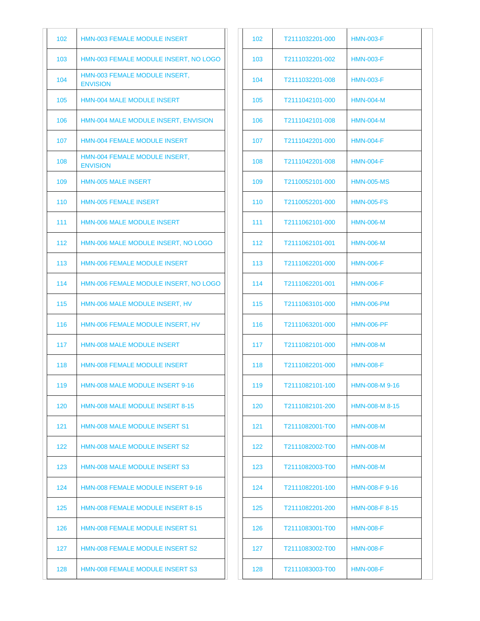| 102 | <b>HMN-003 FEMALE MODULE INSERT</b>              |
|-----|--------------------------------------------------|
| 103 | HMN-003 FEMALE MODULE INSERT, NO LOGO            |
| 104 | HMN-003 FEMALE MODULE INSERT.<br><b>ENVISION</b> |
| 105 | <b>HMN-004 MALE MODULE INSERT</b>                |
| 106 | HMN-004 MALE MODULE INSERT, ENVISION             |
| 107 | <b>HMN-004 FEMALE MODULE INSERT</b>              |
| 108 | HMN-004 FEMALE MODULE INSERT,<br><b>ENVISION</b> |
| 109 | <b>HMN-005 MALE INSERT</b>                       |
| 110 | <b>HMN-005 FEMALE INSERT</b>                     |
| 111 | <b>HMN-006 MALE MODULE INSERT</b>                |
| 112 | HMN-006 MALE MODULE INSERT, NO LOGO              |
| 113 | <b>HMN-006 FEMALE MODULE INSERT</b>              |
| 114 | HMN-006 FEMALE MODULE INSERT, NO LOGO            |
| 115 | HMN-006 MALE MODULE INSERT, HV                   |
| 116 | HMN-006 FEMALE MODULE INSERT, HV                 |
| 117 | <b>HMN-008 MALE MODULE INSERT</b>                |
| 118 | <b>HMN-008 FEMALE MODULE INSERT</b>              |
| 119 | <b>HMN-008 MALE MODULE INSERT 9-16</b>           |
| 120 | <b>HMN-008 MALE MODULE INSERT 8-15</b>           |
| 121 | <b>HMN-008 MALE MODULE INSERT S1</b>             |
| 122 | <b>HMN-008 MALE MODULE INSERT S2</b>             |
| 123 | <b>HMN-008 MALE MODULE INSERT S3</b>             |
| 124 | <b>HMN-008 FEMALE MODULE INSERT 9-16</b>         |
| 125 | <b>HMN-008 FEMALE MODULE INSERT 8-15</b>         |
| 126 | <b>HMN-008 FEMALE MODULE INSERT S1</b>           |
| 127 | HMN-008 FEMALE MODULE INSERT S2                  |
| 128 | <b>HMN-008 FEMALE MODULE INSERT S3</b>           |

| 102 | T2111032201-000 | <b>HMN-003-F</b>  |
|-----|-----------------|-------------------|
| 103 | T2111032201-002 | <b>HMN-003-F</b>  |
| 104 | T2111032201-008 | <b>HMN-003-F</b>  |
| 105 | T2111042101-000 | <b>HMN-004-M</b>  |
| 106 | T2111042101-008 | <b>HMN-004-M</b>  |
| 107 | T2111042201-000 | <b>HMN-004-F</b>  |
| 108 | T2111042201-008 | <b>HMN-004-F</b>  |
| 109 | T2110052101-000 | <b>HMN-005-MS</b> |
| 110 | T2110052201-000 | <b>HMN-005-FS</b> |
| 111 | T2111062101-000 | <b>HMN-006-M</b>  |
| 112 | T2111062101-001 | <b>HMN-006-M</b>  |
| 113 | T2111062201-000 | <b>HMN-006-F</b>  |
| 114 | T2111062201-001 | <b>HMN-006-F</b>  |
| 115 | T2111063101-000 | <b>HMN-006-PM</b> |
| 116 | T2111063201-000 | <b>HMN-006-PF</b> |
| 117 | T2111082101-000 | <b>HMN-008-M</b>  |
| 118 | T2111082201-000 | <b>HMN-008-F</b>  |
| 119 | T2111082101-100 | HMN-008-M 9-16    |
| 120 | T2111082101-200 | HMN-008-M 8-15    |
| 121 | T2111082001-T00 | <b>HMN-008-M</b>  |
| 122 | T2111082002-T00 | <b>HMN-008-M</b>  |
| 123 | T2111082003-T00 | <b>HMN-008-M</b>  |
| 124 | T2111082201-100 | HMN-008-F 9-16    |
| 125 | T2111082201-200 | HMN-008-F 8-15    |
| 126 | T2111083001-T00 | <b>HMN-008-F</b>  |
| 127 | T2111083002-T00 | <b>HMN-008-F</b>  |
| 128 | T2111083003-T00 | <b>HMN-008-F</b>  |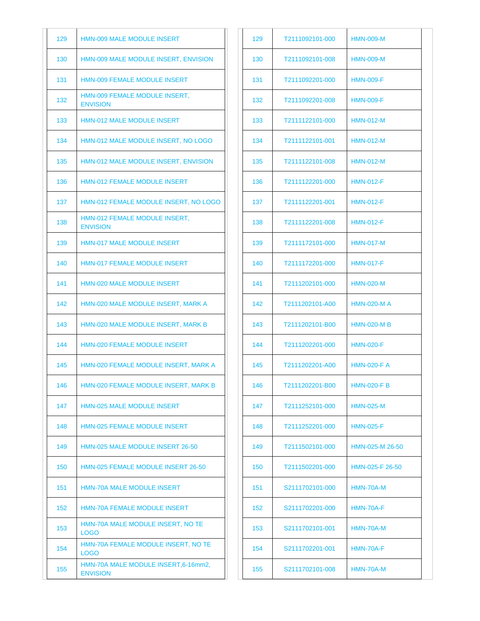| 129 | <b>HMN-009 MALE MODULE INSERT</b>                       |
|-----|---------------------------------------------------------|
| 130 | HMN-009 MALE MODULE INSERT, ENVISION                    |
| 131 | <b>HMN-009 FEMALE MODULE INSERT</b>                     |
| 132 | HMN-009 FEMALE MODULE INSERT,<br><b>ENVISION</b>        |
| 133 | <b>HMN-012 MALE MODULE INSERT</b>                       |
| 134 | HMN-012 MALE MODULE INSERT, NO LOGO                     |
| 135 | HMN-012 MALE MODULE INSERT, ENVISION                    |
| 136 | <b>HMN-012 FEMALE MODULE INSERT</b>                     |
| 137 | HMN-012 FEMALE MODULE INSERT, NO LOGO                   |
| 138 | HMN-012 FEMALE MODULE INSERT,<br><b>ENVISION</b>        |
| 139 | <b>HMN-017 MALE MODULE INSERT</b>                       |
| 140 | <b>HMN-017 FEMALE MODULE INSERT</b>                     |
| 141 | <b>HMN-020 MALE MODULE INSERT</b>                       |
| 142 | HMN-020 MALE MODULE INSERT, MARK A                      |
| 143 | HMN-020 MALE MODULE INSERT, MARK B                      |
| 144 | <b>HMN-020 FEMALE MODULE INSERT</b>                     |
| 145 | HMN-020 FEMALE MODULE INSERT, MARK A                    |
| 146 | HMN-020 FEMALE MODULE INSERT, MARK B                    |
| 147 | <b>HMN-025 MALE MODULE INSERT</b>                       |
| 148 | <b>HMN-025 FEMALE MODULE INSERT</b>                     |
| 149 | HMN-025 MALE MODULE INSERT 26-50                        |
| 150 | HMN-025 FEMALE MODULE INSERT 26-50                      |
| 151 | <b>HMN-70A MALE MODULE INSERT</b>                       |
| 152 | <b>HMN-70A FEMALE MODULE INSERT</b>                     |
| 153 | HMN-70A MALE MODULE INSERT, NO TE<br>LOGO               |
| 154 | HMN-70A FEMALE MODULE INSERT, NO TE<br>LOGO             |
| 155 | HMN-70A MALE MODULE INSERT, 6-16mm2,<br><b>ENVISION</b> |

| 129 | T2111092101-000 | <b>HMN-009-M</b>   |
|-----|-----------------|--------------------|
| 130 | T2111092101-008 | <b>HMN-009-M</b>   |
| 131 | T2111092201-000 | <b>HMN-009-F</b>   |
| 132 | T2111092201-008 | <b>HMN-009-F</b>   |
| 133 | T2111122101-000 | <b>HMN-012-M</b>   |
| 134 | T2111122101-001 | <b>HMN-012-M</b>   |
| 135 | T2111122101-008 | <b>HMN-012-M</b>   |
| 136 | T2111122201-000 | <b>HMN-012-F</b>   |
| 137 | T2111122201-001 | <b>HMN-012-F</b>   |
| 138 | T2111122201-008 | <b>HMN-012-F</b>   |
| 139 | T2111172101-000 | <b>HMN-017-M</b>   |
| 140 | T2111172201-000 | <b>HMN-017-F</b>   |
| 141 | T2111202101-000 | <b>HMN-020-M</b>   |
| 142 | T2111202101-A00 | <b>HMN-020-MA</b>  |
| 143 | T2111202101-B00 | <b>HMN-020-MB</b>  |
| 144 | T2111202201-000 | <b>HMN-020-F</b>   |
| 145 | T2111202201-A00 | <b>HMN-020-F A</b> |
| 146 | T2111202201-B00 | <b>HMN-020-F B</b> |
| 147 | T2111252101-000 | <b>HMN-025-M</b>   |
| 148 | T2111252201-000 | <b>HMN-025-F</b>   |
| 149 | T2111502101-000 | HMN-025-M 26-50    |
| 150 | T2111502201-000 | HMN-025-F 26-50    |
| 151 | S2111702101-000 | HMN-70A-M          |
| 152 | S2111702201-000 | HMN-70A-F          |
| 153 | S2111702101-001 | HMN-70A-M          |
| 154 | S2111702201-001 | <b>HMN-70A-F</b>   |
| 155 | S2111702101-008 | HMN-70A-M          |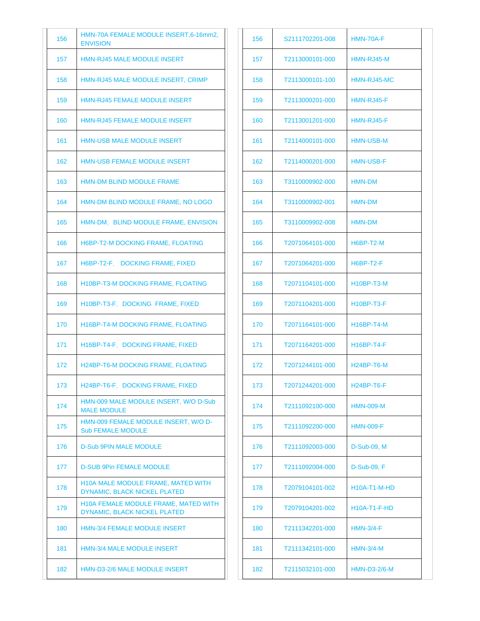| 156 | HMN-70A FEMALE MODULE INSERT, 6-16mm2,<br><b>ENVISION</b>                 |
|-----|---------------------------------------------------------------------------|
| 157 | <b>HMN-RJ45 MALE MODULE INSERT</b>                                        |
| 158 | HMN-RJ45 MALE MODULE INSERT, CRIMP                                        |
| 159 | <b>HMN-RJ45 FEMALE MODULE INSERT</b>                                      |
| 160 | <b>HMN-RJ45 FEMALE MODULE INSERT</b>                                      |
| 161 | HMN-USB MALE MODULE INSERT                                                |
| 162 | <b>HMN-USB FEMALE MODULE INSERT</b>                                       |
| 163 | HMN-DM BLIND MODULE FRAME                                                 |
| 164 | HMN-DM BLIND MODULE FRAME, NO LOGO                                        |
| 165 | HMN-DM, BLIND MODULE FRAME, ENVISION                                      |
| 166 | H6BP-T2-M DOCKING FRAME, FLOATING                                         |
| 167 | H6BP-T2-F. DOCKING FRAME, FIXED                                           |
| 168 | H10BP-T3-M DOCKING FRAME, FLOATING                                        |
| 169 | H10BP-T3-F, DOCKING FRAME, FIXED                                          |
| 170 | H16BP-T4-M DOCKING FRAME, FLOATING                                        |
| 171 | H16BP-T4-F. DOCKING FRAME, FIXED                                          |
| 172 | H24BP-T6-M DOCKING FRAME, FLOATING                                        |
| 173 | H24BP-T6-F, DOCKING FRAME, FIXED                                          |
| 174 | HMN-009 MALE MODULE INSERT, W/O D-Sub<br><b>MALE MODULE</b>               |
| 175 | HMN-009 FEMALE MODULE INSERT, W/O D-<br><b>Sub FEMALE MODULE</b>          |
| 176 | <b>D-Sub 9PIN MALE MODULE</b>                                             |
| 177 | <b>D-SUB 9Pin FEMALE MODULE</b>                                           |
| 178 | <b>H10A MALE MODULE FRAME, MATED WITH</b><br>DYNAMIC, BLACK NICKEL PLATED |
| 179 | H10A FEMALE MODULE FRAME, MATED WITH<br>DYNAMIC, BLACK NICKEL PLATED      |
| 180 | <b>HMN-3/4 FEMALE MODULE INSERT</b>                                       |
| 181 | <b>HMN-3/4 MALE MODULE INSERT</b>                                         |
| 182 | <b>HMN-D3-2/6 MALE MODULE INSERT</b>                                      |

| 156 | S2111702201-008 | HMN-70A-F           |
|-----|-----------------|---------------------|
| 157 | T2113000101-000 | HMN-RJ45-M          |
| 158 | T2113000101-100 | HMN-RJ45-MC         |
| 159 | T2113000201-000 | HMN-RJ45-F          |
| 160 | T2113001201-000 | HMN-RJ45-F          |
| 161 | T2114000101-000 | <b>HMN-USB-M</b>    |
| 162 | T2114000201-000 | <b>HMN-USB-F</b>    |
| 163 | T3110009902-000 | <b>HMN-DM</b>       |
| 164 | T3110009902-001 | <b>HMN-DM</b>       |
| 165 | T3110009902-008 | <b>HMN-DM</b>       |
| 166 | T2071064101-000 | H6BP-T2-M           |
| 167 | T2071064201-000 | H6BP-T2-F           |
| 168 | T2071104101-000 | <b>H10BP-T3-M</b>   |
| 169 | T2071104201-000 | <b>H10BP-T3-F</b>   |
| 170 | T2071164101-000 | <b>H16BP-T4-M</b>   |
| 171 | T2071164201-000 | <b>H16BP-T4-F</b>   |
| 172 | T2071244101-000 | $H24BP-T6-M$        |
| 173 | T2071244201-000 | H24BP-T6-F          |
| 174 | T2111092100-000 | <b>HMN-009-M</b>    |
| 175 | T2111092200-000 | <b>HMN-009-F</b>    |
| 176 | T2111092003-000 | D-Sub-09, M         |
| 177 | T2111092004-000 | D-Sub-09, F         |
| 178 | T2079104101-002 | <b>H10A-T1-M-HD</b> |
| 179 | T2079104201-002 | $H10A-T1-F-HD$      |
| 180 | T2111342201-000 | <b>HMN-3/4-F</b>    |
| 181 | T2111342101-000 | $HMN-3/4-M$         |
| 182 | T2115032101-000 | <b>HMN-D3-2/6-M</b> |